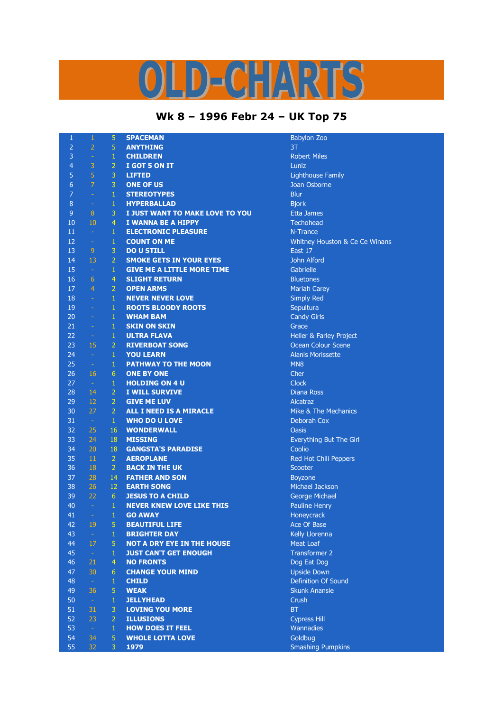## **Wk 8 – 1996 Febr 24 – UK Top 75**

| $\mathbf{1}$     | $\mathbf 1$      | 5               | <b>SPACEMAN</b>                   | <b>Babylon</b>      |
|------------------|------------------|-----------------|-----------------------------------|---------------------|
| $\overline{2}$   | $\overline{2}$   | 5               | <b>ANYTHING</b>                   | 3T                  |
| 3                | $\pm$            | $\mathbf{1}$    | <b>CHILDREN</b>                   | Robert M            |
| $\overline{4}$   | 3                | $\overline{2}$  | I GOT 5 ON IT                     | Luniz               |
| 5                | 5                | 3               | <b>LIFTED</b>                     | Lighthou            |
| $\boldsymbol{6}$ | $\overline{7}$   | 3               | <b>ONE OF US</b>                  | Joan Osl            |
| $\overline{7}$   | $\omega$         | $\mathbf 1$     | <b>STEREOTYPES</b>                | <b>Blur</b>         |
| $\, 8$           | $\Box$           | $\mathbf{1}$    | <b>HYPERBALLAD</b>                | <b>Bjork</b>        |
| $\overline{9}$   | 8                | 3               | I JUST WANT TO MAKE LOVE TO YOU   | Etta Jam            |
| 10               | 10               | $\overline{4}$  | <b>I WANNA BE A HIPPY</b>         | Techohe             |
| 11               | $\omega$         | $\mathbf{1}$    | <b>ELECTRONIC PLEASURE</b>        | N-Tranc             |
| 12               | $\rightarrow$    | $\mathbf 1$     | <b>COUNT ON ME</b>                | Whitney             |
| 13               | $\overline{9}$   | 3               | <b>DO U STILL</b>                 | East 17             |
| 14               | 13               | $\overline{2}$  | <b>SMOKE GETS IN YOUR EYES</b>    | John Alf            |
| 15               | $\sim$           | $\mathbf{1}$    | <b>GIVE ME A LITTLE MORE TIME</b> | Gabrielle           |
| 16               | $6\phantom{1}$   | $\overline{4}$  | <b>SLIGHT RETURN</b>              | <b>Bluetone</b>     |
| 17               | $\overline{4}$   | $\overline{2}$  | <b>OPEN ARMS</b>                  |                     |
|                  |                  |                 |                                   | Mariah O            |
| 18               | $\omega$         | $\mathbf{1}$    | <b>NEVER NEVER LOVE</b>           | Simply F            |
| 19               | ÷,               | $\mathbf 1$     | <b>ROOTS BLOODY ROOTS</b>         | Sepultur            |
| 20               | ÷,               | $\mathbf{1}$    | <b>WHAM BAM</b>                   | Candy G             |
| 21               | $\rightarrow$    | $\mathbf{1}$    | <b>SKIN ON SKIN</b>               | Grace               |
| 22               | $\sim$           | $\mathbf{1}$    | <b>ULTRA FLAVA</b>                | Heller &            |
| 23               | 15               | $\overline{2}$  | <b>RIVERBOAT SONG</b>             | Ocean C             |
| 24               | $\omega$         | $\mathbf{1}$    | <b>YOU LEARN</b>                  | <b>Alanis M</b>     |
| 25               | $\pm$            | $\mathbf 1$     | <b>PATHWAY TO THE MOON</b>        | MN <sub>8</sub>     |
| 26               | 16               | $6\phantom{1}$  | <b>ONE BY ONE</b>                 | Cher                |
| 27               | $\sim$           | $\mathbf{1}$    | <b>HOLDING ON 4 U</b>             | <b>Clock</b>        |
| 28               | 14               | $\overline{2}$  | <b>I WILL SURVIVE</b>             | Diana Ro            |
| 29               | 12               | $\overline{2}$  | <b>GIVE ME LUV</b>                | Alcatraz            |
| 30               | 27               | $\overline{2}$  | ALL I NEED IS A MIRACLE           | Mike & 1            |
| 31               | $\sim$           | $\mathbf{1}$    | <b>WHO DO U LOVE</b>              | Deborah             |
| 32               | 25               | 16              | <b>WONDERWALL</b>                 | <b>Oasis</b>        |
| 33               | 24               | 18              | <b>MISSING</b>                    | Everythi            |
| 34               | 20               | 18              | <b>GANGSTA'S PARADISE</b>         | Coolio              |
| 35               | 11               | $\overline{2}$  | <b>AEROPLANE</b>                  | <b>Red Hot</b>      |
| 36               | 18               | $\overline{2}$  | <b>BACK IN THE UK</b>             | Scooter             |
| 37               | 28               | 14              | <b>FATHER AND SON</b>             | <b>Boyzone</b>      |
| 38               | 26               | 12              | <b>EARTH SONG</b>                 | Michael             |
| 39               | 22               | 6 <sup>1</sup>  | <b>JESUS TO A CHILD</b>           | George <sup>1</sup> |
| 40               | $\omega$         | $\mathbf{1}$    | <b>NEVER KNEW LOVE LIKE THIS</b>  | Pauline             |
| 41               | ÷,               | $\mathbf{1}$    | <b>GO AWAY</b>                    | Honeycr             |
| 42               | 19               | 5               | <b>BEAUTIFUL LIFE</b>             | Ace Of E            |
| 43               | $\sim$           | $\mathbf{1}$    | <b>BRIGHTER DAY</b>               | <b>Kelly Llo</b>    |
| 44               | 17               | 5               | <b>NOT A DRY EYE IN THE HOUSE</b> | Meat Lo             |
| 45               | $\sim$           | 1               | <b>JUST CAN'T GET ENOUGH</b>      | <b>Transfor</b>     |
| 46               | 21               | $\overline{4}$  | <b>NO FRONTS</b>                  | Dog Eat             |
| 47               | 30               | $6\phantom{.}6$ | <b>CHANGE YOUR MIND</b>           | <b>Upside D</b>     |
| 48               | $\pm$            | $\mathbf{1}$    | <b>CHILD</b>                      | Definitio           |
| 49               | 36               | 5               |                                   |                     |
|                  |                  |                 | <b>WEAK</b>                       | <b>Skunk A</b>      |
| 50               | $\omega$         | $\mathbf{1}$    | <b>JELLYHEAD</b>                  | Crush               |
| 51               | 31               | 3               | <b>LOVING YOU MORE</b>            | <b>BT</b>           |
| 52               | 23               | $\overline{2}$  | <b>ILLUSIONS</b>                  | <b>Cypress</b>      |
| 53               | $\omega_{\rm c}$ | $\mathbf{1}$    | <b>HOW DOES IT FEEL</b>           | Wannad              |
| 54               | 34               | 5               | <b>WHOLE LOTTA LOVE</b>           | Goldbug             |
| 55               | 32               | 3               | 1979                              | Smashin             |

**Babylon Zoo Robert Miles Lighthouse Family Joan Osborne Etta James**  $\overline{\phantom{a}}$  Techohead **N-Trance Whitney Houston & Ce Ce Winans John Alford** Gabrielle **Bluetones Mariah Carey Simply Red** Sepultura Candy Girls Heller & Farley Project **Ocean Colour Scene** Alanis Morissette **Diana Ross** Mike & The Mechanics Deborah Cox Everything But The Girl Red Hot Chili Peppers **Michael Jackson George Michael** Pauline Henry **Honeycrack** Ace Of Base **Kelly Llorenna Meat Loaf Transformer 2** Dog Eat Dog **Upside Down** Definition Of Sound **Skunk Anansie Cypress Hill Wannadies** Goldbug **Smashing Pumpkins**